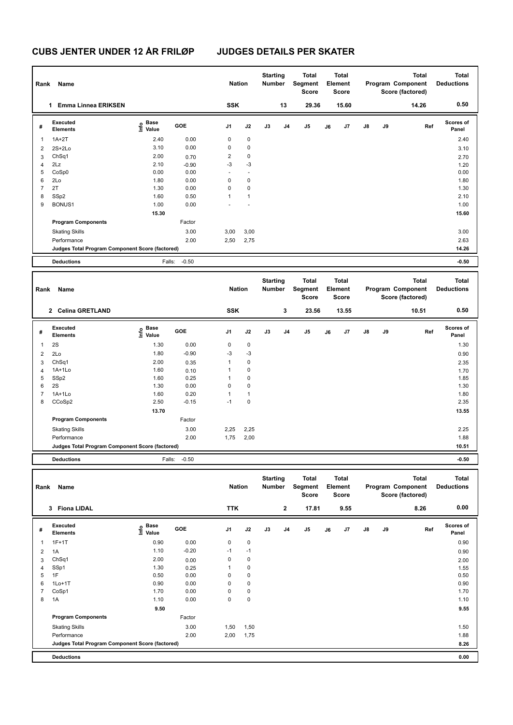# **CUBS JENTER UNDER 12 ÅR FRILØP JUDGES DETAILS PER SKATER**

| Rank           | Name                                            |                                             |                 | <b>Nation</b>  |                          | <b>Starting</b><br>Number |                         | <b>Total</b><br>Segment<br><b>Score</b> |    | <b>Total</b><br>Element<br><b>Score</b> |    |    | <b>Total</b><br>Program Component<br>Score (factored) | <b>Total</b><br><b>Deductions</b> |
|----------------|-------------------------------------------------|---------------------------------------------|-----------------|----------------|--------------------------|---------------------------|-------------------------|-----------------------------------------|----|-----------------------------------------|----|----|-------------------------------------------------------|-----------------------------------|
|                | 1 Emma Linnea ERIKSEN                           |                                             |                 | <b>SSK</b>     |                          |                           | 13                      | 29.36                                   |    | 15.60                                   |    |    | 14.26                                                 | 0.50                              |
| #              | Executed<br><b>Elements</b>                     | <b>Base</b><br>e <sup>Base</sup><br>⊆ Value | GOE             | J <sub>1</sub> | J2                       | J3                        | J4                      | J5                                      | J6 | J7                                      | J8 | J9 | Ref                                                   | Scores of<br>Panel                |
| $\mathbf{1}$   | $1A+2T$                                         | 2.40                                        | 0.00            | 0              | 0                        |                           |                         |                                         |    |                                         |    |    |                                                       | 2.40                              |
| $\overline{2}$ | $2S+2Lo$                                        | 3.10                                        | 0.00            | 0              | 0                        |                           |                         |                                         |    |                                         |    |    |                                                       | 3.10                              |
| 3              | ChSq1                                           | 2.00                                        | 0.70            | 2              | 0                        |                           |                         |                                         |    |                                         |    |    |                                                       | 2.70                              |
| $\overline{4}$ | 2Lz                                             | 2.10                                        |                 | -3             | $-3$                     |                           |                         |                                         |    |                                         |    |    |                                                       | 1.20                              |
| 5              | CoSp0                                           | 0.00                                        | $-0.90$<br>0.00 | ÷,             | $\overline{\phantom{a}}$ |                           |                         |                                         |    |                                         |    |    |                                                       | 0.00                              |
| 6              | 2Lo                                             | 1.80                                        | 0.00            | 0              | 0                        |                           |                         |                                         |    |                                         |    |    |                                                       | 1.80                              |
| $\overline{7}$ | 2T                                              | 1.30                                        | 0.00            | 0              | 0                        |                           |                         |                                         |    |                                         |    |    |                                                       | 1.30                              |
|                |                                                 |                                             |                 | $\mathbf{1}$   | $\mathbf{1}$             |                           |                         |                                         |    |                                         |    |    |                                                       |                                   |
| 8              | SSp2                                            | 1.60                                        | 0.50            |                |                          |                           |                         |                                         |    |                                         |    |    |                                                       | 2.10                              |
| 9              | BONUS1                                          | 1.00                                        | 0.00            |                |                          |                           |                         |                                         |    |                                         |    |    |                                                       | 1.00                              |
|                |                                                 | 15.30                                       |                 |                |                          |                           |                         |                                         |    |                                         |    |    |                                                       | 15.60                             |
|                | <b>Program Components</b>                       |                                             | Factor          |                |                          |                           |                         |                                         |    |                                         |    |    |                                                       |                                   |
|                | <b>Skating Skills</b>                           |                                             | 3.00            | 3,00           | 3,00                     |                           |                         |                                         |    |                                         |    |    |                                                       | 3.00                              |
|                | Performance                                     |                                             | 2.00            | 2,50           | 2,75                     |                           |                         |                                         |    |                                         |    |    |                                                       | 2.63                              |
|                | Judges Total Program Component Score (factored) |                                             |                 |                |                          |                           |                         |                                         |    |                                         |    |    |                                                       | 14.26                             |
|                | <b>Deductions</b>                               | Falls:                                      | $-0.50$         |                |                          |                           |                         |                                         |    |                                         |    |    |                                                       | $-0.50$                           |
|                |                                                 |                                             |                 |                |                          |                           |                         |                                         |    |                                         |    |    |                                                       |                                   |
|                |                                                 |                                             |                 |                |                          | <b>Starting</b>           |                         | <b>Total</b>                            |    | <b>Total</b>                            |    |    | <b>Total</b>                                          | <b>Total</b>                      |
| Rank           | Name                                            |                                             |                 | <b>Nation</b>  |                          | Number                    |                         | Segment                                 |    | Element                                 |    |    | Program Component                                     | <b>Deductions</b>                 |
|                |                                                 |                                             |                 |                |                          |                           |                         | Score                                   |    | <b>Score</b>                            |    |    | Score (factored)                                      |                                   |
|                | 2 Celina GRETLAND                               |                                             |                 | <b>SSK</b>     |                          |                           | 3                       | 23.56                                   |    | 13.55                                   |    |    | 10.51                                                 | 0.50                              |
|                |                                                 |                                             |                 |                |                          |                           |                         |                                         |    |                                         |    |    |                                                       |                                   |
| #              | Executed<br><b>Elements</b>                     | <b>Base</b><br>lnfo<br>Value                | GOE             | J <sub>1</sub> | J2                       | J3                        | J4                      | J <sub>5</sub>                          | J6 | J7                                      | J8 | J9 | Ref                                                   | <b>Scores of</b><br>Panel         |
|                |                                                 |                                             |                 |                |                          |                           |                         |                                         |    |                                         |    |    |                                                       |                                   |
| $\mathbf{1}$   | 2S                                              | 1.30                                        | 0.00            | 0              | $\mathbf 0$              |                           |                         |                                         |    |                                         |    |    |                                                       | 1.30                              |
| $\overline{2}$ | 2Lo                                             | 1.80                                        | $-0.90$         | -3             | $-3$                     |                           |                         |                                         |    |                                         |    |    |                                                       | 0.90                              |
| 3              | ChSq1                                           | 2.00                                        | 0.35            | $\mathbf{1}$   | 0                        |                           |                         |                                         |    |                                         |    |    |                                                       | 2.35                              |
| $\overline{4}$ | $1A+1Lo$                                        | 1.60                                        | 0.10            | $\mathbf{1}$   | 0                        |                           |                         |                                         |    |                                         |    |    |                                                       | 1.70                              |
| 5              | SSp2                                            | 1.60                                        | 0.25            | $\mathbf{1}$   | 0                        |                           |                         |                                         |    |                                         |    |    |                                                       | 1.85                              |
| 6              | 2S                                              | 1.30                                        | 0.00            | 0              | 0                        |                           |                         |                                         |    |                                         |    |    |                                                       | 1.30                              |
| $\overline{7}$ | $1A+1Lo$                                        | 1.60                                        | 0.20            | $\mathbf{1}$   | $\mathbf{1}$             |                           |                         |                                         |    |                                         |    |    |                                                       | 1.80                              |
| 8              | CCoSp2                                          | 2.50                                        | $-0.15$         | $-1$           | 0                        |                           |                         |                                         |    |                                         |    |    |                                                       | 2.35                              |
|                |                                                 | 13.70                                       |                 |                |                          |                           |                         |                                         |    |                                         |    |    |                                                       | 13.55                             |
|                | <b>Program Components</b>                       |                                             | Factor          |                |                          |                           |                         |                                         |    |                                         |    |    |                                                       |                                   |
|                | <b>Skating Skills</b>                           |                                             | 3.00            | 2,25           | 2,25                     |                           |                         |                                         |    |                                         |    |    |                                                       | 2.25                              |
|                | Performance                                     |                                             | 2.00            | 1,75           | 2,00                     |                           |                         |                                         |    |                                         |    |    |                                                       | 1.88                              |
|                | Judges Total Program Component Score (factored) |                                             |                 |                |                          |                           |                         |                                         |    |                                         |    |    |                                                       | 10.51                             |
|                | <b>Deductions</b>                               | Falls:                                      | $-0.50$         |                |                          |                           |                         |                                         |    |                                         |    |    |                                                       | $-0.50$                           |
|                |                                                 |                                             |                 |                |                          |                           |                         |                                         |    |                                         |    |    |                                                       |                                   |
|                |                                                 |                                             |                 |                |                          | <b>Starting</b>           |                         | <b>Total</b>                            |    | <b>Total</b>                            |    |    | <b>Total</b>                                          | <b>Total</b>                      |
|                | Rank Name                                       |                                             |                 | <b>Nation</b>  |                          | Number                    |                         | Segment                                 |    | Element                                 |    |    | Program Component                                     | <b>Deductions</b>                 |
|                |                                                 |                                             |                 |                |                          |                           |                         | Score                                   |    | Score                                   |    |    | Score (factored)                                      |                                   |
|                | 3 Fiona LIDAL                                   |                                             |                 | <b>TTK</b>     |                          |                           | $\overline{\mathbf{2}}$ | 17.81                                   |    | 9.55                                    |    |    | 8.26                                                  | 0.00                              |
|                |                                                 |                                             |                 |                |                          |                           |                         |                                         |    |                                         |    |    |                                                       |                                   |
| #              | Executed                                        | Base                                        | GOE             | J <sub>1</sub> | J2                       | J3                        | J4                      | J5                                      | J6 | J7                                      | J8 | J9 | Ref                                                   | Scores of                         |
|                | <b>Elements</b>                                 | lnfo<br>Value                               |                 |                |                          |                           |                         |                                         |    |                                         |    |    |                                                       | Panel                             |
| $\mathbf{1}$   | $1F+1T$                                         | 0.90                                        | 0.00            | 0              | $\mathbf 0$              |                           |                         |                                         |    |                                         |    |    |                                                       | 0.90                              |
| $\overline{2}$ | 1A                                              | 1.10                                        | $-0.20$         | $-1$           | $-1$                     |                           |                         |                                         |    |                                         |    |    |                                                       | 0.90                              |
| 3              | ChSq1                                           | 2.00                                        | 0.00            | 0              | $\pmb{0}$                |                           |                         |                                         |    |                                         |    |    |                                                       | 2.00                              |

| Rank | Name                                            |                           | <b>Nation</b> |                | <b>Starting</b><br><b>Number</b> | Total<br>Segment<br>Score | <b>Total</b><br>Element<br><b>Score</b> |       |    | Total<br>Program Component<br>Score (factored) |               | <b>Total</b><br><b>Deductions</b> |      |                           |
|------|-------------------------------------------------|---------------------------|---------------|----------------|----------------------------------|---------------------------|-----------------------------------------|-------|----|------------------------------------------------|---------------|-----------------------------------|------|---------------------------|
|      | <b>Fiona LIDAL</b><br>3                         |                           |               | <b>TTK</b>     |                                  |                           | $\mathbf{2}$                            | 17.81 |    | 9.55                                           |               |                                   | 8.26 | 0.00                      |
| #    | Executed<br><b>Elements</b>                     | Base<br>e Base<br>⊆ Value | <b>GOE</b>    | J <sub>1</sub> | J2                               | J3                        | J <sub>4</sub>                          | J5    | J6 | J7                                             | $\mathsf{J}8$ | J9                                | Ref  | <b>Scores of</b><br>Panel |
|      | $1F+1T$                                         | 0.90                      | 0.00          | 0              | $\mathbf 0$                      |                           |                                         |       |    |                                                |               |                                   |      | 0.90                      |
| 2    | 1A                                              | 1.10                      | $-0.20$       | $-1$           | $-1$                             |                           |                                         |       |    |                                                |               |                                   |      | 0.90                      |
| 3    | ChSq1                                           | 2.00                      | 0.00          | 0              | 0                                |                           |                                         |       |    |                                                |               |                                   |      | 2.00                      |
| 4    | SSp1                                            | 1.30                      | 0.25          | 1              | $\pmb{0}$                        |                           |                                         |       |    |                                                |               |                                   |      | 1.55                      |
| 5    | 1F                                              | 0.50                      | 0.00          | 0              | $\mathbf 0$                      |                           |                                         |       |    |                                                |               |                                   |      | 0.50                      |
| 6    | $1Lo+1T$                                        | 0.90                      | 0.00          | $\mathbf 0$    | $\mathbf 0$                      |                           |                                         |       |    |                                                |               |                                   |      | 0.90                      |
| 7    | CoSp1                                           | 1.70                      | 0.00          | $\mathbf 0$    | $\mathbf 0$                      |                           |                                         |       |    |                                                |               |                                   |      | 1.70                      |
| 8    | 1A                                              | 1.10                      | 0.00          | 0              | $\mathbf 0$                      |                           |                                         |       |    |                                                |               |                                   |      | 1.10                      |
|      |                                                 | 9.50                      |               |                |                                  |                           |                                         |       |    |                                                |               |                                   |      | 9.55                      |
|      | <b>Program Components</b>                       |                           | Factor        |                |                                  |                           |                                         |       |    |                                                |               |                                   |      |                           |
|      | <b>Skating Skills</b>                           |                           | 3.00          | 1,50           | 1,50                             |                           |                                         |       |    |                                                |               |                                   |      | 1.50                      |
|      | Performance                                     |                           | 2.00          | 2,00           | 1,75                             |                           |                                         |       |    |                                                |               |                                   |      | 1.88                      |
|      | Judges Total Program Component Score (factored) |                           |               |                |                                  |                           |                                         |       |    |                                                |               |                                   |      | 8.26                      |
|      | <b>Deductions</b>                               |                           |               |                |                                  |                           |                                         |       |    |                                                |               |                                   |      | 0.00                      |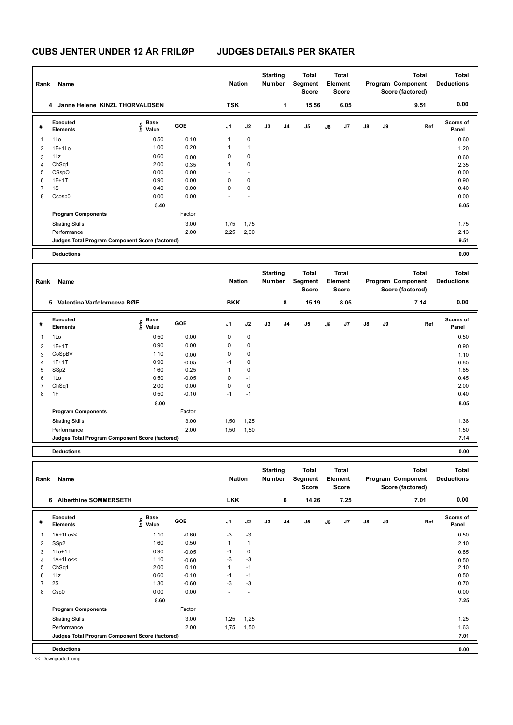# **CUBS JENTER UNDER 12 ÅR FRILØP JUDGES DETAILS PER SKATER**

| Rank           | Name                                            |                                      |         | <b>Nation</b>  |                | <b>Starting</b><br>Number        |    | Total<br>Segment<br>Score               |    | <b>Total</b><br>Element<br>Score        |    |    | <b>Total</b><br>Program Component<br>Score (factored) | <b>Total</b><br><b>Deductions</b> |
|----------------|-------------------------------------------------|--------------------------------------|---------|----------------|----------------|----------------------------------|----|-----------------------------------------|----|-----------------------------------------|----|----|-------------------------------------------------------|-----------------------------------|
|                | 4 Janne Helene KINZL THORVALDSEN                |                                      |         | <b>TSK</b>     |                |                                  | 1  | 15.56                                   |    | 6.05                                    |    |    | 9.51                                                  | 0.00                              |
| #              | Executed<br><b>Elements</b>                     | Base<br>e <sup>Base</sup><br>⊆ Value | GOE     | J1             | J2             | J3                               | J4 | J5                                      | J6 | J7                                      | J8 | J9 | Ref                                                   | <b>Scores of</b><br>Panel         |
| 1              | 1Lo                                             | 0.50                                 | 0.10    | 1              | 0              |                                  |    |                                         |    |                                         |    |    |                                                       | 0.60                              |
| 2              | $1F+1Lo$                                        | 1.00                                 | 0.20    | 1              | $\mathbf{1}$   |                                  |    |                                         |    |                                         |    |    |                                                       | 1.20                              |
| 3              | 1Lz                                             | 0.60                                 | 0.00    | 0              | $\mathbf 0$    |                                  |    |                                         |    |                                         |    |    |                                                       | 0.60                              |
| 4              | Ch <sub>Sq1</sub>                               | 2.00                                 | 0.35    | 1              | 0              |                                  |    |                                         |    |                                         |    |    |                                                       | 2.35                              |
| 5              | CSspO                                           | 0.00                                 | 0.00    |                | $\overline{a}$ |                                  |    |                                         |    |                                         |    |    |                                                       | 0.00                              |
| 6              | $1F+1T$                                         | 0.90                                 | 0.00    | 0              | $\pmb{0}$      |                                  |    |                                         |    |                                         |    |    |                                                       | 0.90                              |
| $\overline{7}$ | 1S                                              | 0.40                                 | 0.00    | $\mathbf 0$    | $\pmb{0}$      |                                  |    |                                         |    |                                         |    |    |                                                       | 0.40                              |
| 8              | Ccosp0                                          | 0.00                                 | 0.00    |                |                |                                  |    |                                         |    |                                         |    |    |                                                       | 0.00                              |
|                |                                                 | 5.40                                 |         |                |                |                                  |    |                                         |    |                                         |    |    |                                                       | 6.05                              |
|                | <b>Program Components</b>                       |                                      | Factor  |                |                |                                  |    |                                         |    |                                         |    |    |                                                       |                                   |
|                | <b>Skating Skills</b>                           |                                      | 3.00    | 1,75           | 1,75           |                                  |    |                                         |    |                                         |    |    |                                                       | 1.75                              |
|                | Performance                                     |                                      | 2.00    | 2,25           | 2,00           |                                  |    |                                         |    |                                         |    |    |                                                       | 2.13                              |
|                | Judges Total Program Component Score (factored) |                                      |         |                |                |                                  |    |                                         |    |                                         |    |    |                                                       | 9.51                              |
|                | <b>Deductions</b>                               |                                      |         |                |                |                                  |    |                                         |    |                                         |    |    |                                                       | 0.00                              |
|                |                                                 |                                      |         |                |                |                                  |    |                                         |    |                                         |    |    |                                                       |                                   |
| Rank           | Name                                            |                                      |         | <b>Nation</b>  |                | <b>Starting</b><br><b>Number</b> |    | <b>Total</b><br>Segment<br><b>Score</b> |    | <b>Total</b><br>Element<br><b>Score</b> |    |    | <b>Total</b><br>Program Component<br>Score (factored) | <b>Total</b><br><b>Deductions</b> |
|                | 5 Valentina Varfolomeeva BØE                    |                                      |         | <b>BKK</b>     |                |                                  | 8  | 15.19                                   |    | 8.05                                    |    |    | 7.14                                                  | 0.00                              |
|                | <b>Executed</b>                                 | Base                                 |         |                |                |                                  |    |                                         |    |                                         |    |    |                                                       | <b>Scores of</b>                  |
| #              | <b>Elements</b>                                 | e Base<br>E Value                    | GOE     | J1             | J2             | J3                               | J4 | J5                                      | J6 | J7                                      | J8 | J9 | Ref                                                   | Panel                             |
| 1              | 1Lo                                             | 0.50                                 | 0.00    | 0              | $\mathbf 0$    |                                  |    |                                         |    |                                         |    |    |                                                       | 0.50                              |
| 2              | $1F+1T$                                         | 0.90                                 | 0.00    | 0              | $\mathbf 0$    |                                  |    |                                         |    |                                         |    |    |                                                       | 0.90                              |
| 3              | CoSpBV                                          | 1.10                                 | 0.00    | 0              | $\pmb{0}$      |                                  |    |                                         |    |                                         |    |    |                                                       | 1.10                              |
| 4              | $1F+1T$                                         | 0.90                                 | $-0.05$ | $-1$           | $\mathbf 0$    |                                  |    |                                         |    |                                         |    |    |                                                       | 0.85                              |
| 5              | SSp2                                            | 1.60                                 | 0.25    | $\mathbf{1}$   | 0              |                                  |    |                                         |    |                                         |    |    |                                                       | 1.85                              |
| 6              | 1Lo                                             | 0.50                                 | $-0.05$ | 0              | $-1$           |                                  |    |                                         |    |                                         |    |    |                                                       | 0.45                              |
| $\overline{7}$ | ChSq1                                           | 2.00                                 | 0.00    | 0              | $\pmb{0}$      |                                  |    |                                         |    |                                         |    |    |                                                       | 2.00                              |
| 8              | 1F                                              | 0.50                                 | $-0.10$ | $-1$           | $-1$           |                                  |    |                                         |    |                                         |    |    |                                                       | 0.40                              |
|                |                                                 | 8.00                                 |         |                |                |                                  |    |                                         |    |                                         |    |    |                                                       | 8.05                              |
|                | <b>Program Components</b>                       |                                      | Factor  |                |                |                                  |    |                                         |    |                                         |    |    |                                                       |                                   |
|                | <b>Skating Skills</b>                           |                                      | 3.00    | 1,50           | 1,25           |                                  |    |                                         |    |                                         |    |    |                                                       | 1.38                              |
|                | Performance                                     |                                      | 2.00    | 1,50           | 1,50           |                                  |    |                                         |    |                                         |    |    |                                                       | 1.50                              |
|                | Judges Total Program Component Score (factored) |                                      |         |                |                |                                  |    |                                         |    |                                         |    |    |                                                       | 7.14                              |
|                | Deductions                                      |                                      |         |                |                |                                  |    |                                         |    |                                         |    |    |                                                       | 0.00                              |
|                |                                                 |                                      |         |                |                | <b>Starting</b>                  |    | <b>Total</b>                            |    | Total                                   |    |    | Total                                                 | <b>Total</b>                      |
| Rank           | Name                                            |                                      |         | <b>Nation</b>  |                | Number                           |    | Segment                                 |    | Element                                 |    |    | Program Component                                     | <b>Deductions</b>                 |
|                |                                                 |                                      |         |                |                |                                  |    | <b>Score</b>                            |    | Score                                   |    |    | Score (factored)                                      |                                   |
|                | 6 Alberthine SOMMERSETH                         |                                      |         | <b>LKK</b>     |                |                                  | 6  | 14.26                                   |    | 7.25                                    |    |    | 7.01                                                  | 0.00                              |
|                |                                                 |                                      |         |                |                |                                  |    |                                         |    |                                         |    |    |                                                       | <b>Scores of</b>                  |
| #              | Executed<br><b>Elements</b>                     | e Base<br>E Value                    | GOE     | J <sub>1</sub> | J2             | J3                               | J4 | J5                                      | J6 | J7                                      | J8 | J9 | Ref                                                   | Panel                             |
| 1              | 1A+1Lo<<                                        | 1.10                                 | $-0.60$ | $-3$           | $-3$           |                                  |    |                                         |    |                                         |    |    |                                                       | 0.50                              |
| 2              | SSp2                                            | 1.60                                 | 0.50    | 1              | $\mathbf{1}$   |                                  |    |                                         |    |                                         |    |    |                                                       | 2.10                              |
| 3              | $1Lo+1T$                                        | 0.90                                 | $-0.05$ | $-1$           | $\pmb{0}$      |                                  |    |                                         |    |                                         |    |    |                                                       | 0.85                              |
| 4              | 1A+1Lo<<                                        | 1.10                                 | $-0.60$ | $-3$           | $-3$           |                                  |    |                                         |    |                                         |    |    |                                                       | 0.50                              |
| 5              | ChSq1                                           | 2.00                                 | 0.10    | $\mathbf{1}$   | $-1$           |                                  |    |                                         |    |                                         |    |    |                                                       | 2.10                              |
| 6              | 1Lz                                             | 0.60                                 | $-0.10$ | $-1$           | $-1$           |                                  |    |                                         |    |                                         |    |    |                                                       | 0.50                              |
| $\overline{7}$ | 2S                                              | 1.30                                 | $-0.60$ | $-3$           | $-3$           |                                  |    |                                         |    |                                         |    |    |                                                       | 0.70                              |
| 8              | Csp0                                            | 0.00                                 | 0.00    | ÷.             | $\sim$         |                                  |    |                                         |    |                                         |    |    |                                                       | 0.00                              |
|                |                                                 | 8.60                                 |         |                |                |                                  |    |                                         |    |                                         |    |    |                                                       | 7.25                              |
|                | <b>Program Components</b>                       |                                      | Factor  |                |                |                                  |    |                                         |    |                                         |    |    |                                                       |                                   |
|                | <b>Skating Skills</b>                           |                                      | 3.00    | 1,25           | 1,25           |                                  |    |                                         |    |                                         |    |    |                                                       | 1.25                              |
|                | Performance                                     |                                      | 2.00    | 1,75           | 1,50           |                                  |    |                                         |    |                                         |    |    |                                                       | 1.63                              |
|                | Judges Total Program Component Score (factored) |                                      |         |                |                |                                  |    |                                         |    |                                         |    |    |                                                       | 7.01                              |
|                | <b>Deductions</b>                               |                                      |         |                |                |                                  |    |                                         |    |                                         |    |    |                                                       | 0.00                              |

<< Downgraded jump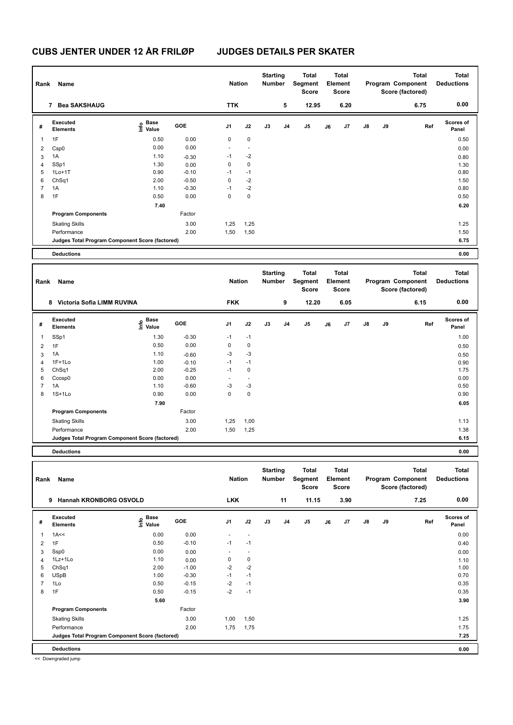# **CUBS JENTER UNDER 12 ÅR FRILØP JUDGES DETAILS PER SKATER**

| Rank                    | Name                                                           |                                      |                 | <b>Nation</b>            |                           | <b>Starting</b><br>Number        |                | Total<br>Segment<br>Score        |    | Total<br>Element<br>Score        |                |    | <b>Total</b><br>Program Component<br>Score (factored) | <b>Total</b><br><b>Deductions</b> |
|-------------------------|----------------------------------------------------------------|--------------------------------------|-----------------|--------------------------|---------------------------|----------------------------------|----------------|----------------------------------|----|----------------------------------|----------------|----|-------------------------------------------------------|-----------------------------------|
|                         | 7 Bea SAKSHAUG                                                 |                                      |                 | <b>TTK</b>               |                           |                                  | 5              | 12.95                            |    | 6.20                             |                |    | 6.75                                                  | 0.00                              |
| #                       | Executed<br><b>Elements</b>                                    | Base<br>e <sup>Base</sup><br>⊆ Value | GOE             | J1                       | J2                        | J3                               | J4             | J5                               | J6 | J7                               | J8             | J9 | Ref                                                   | <b>Scores of</b><br>Panel         |
| $\mathbf{1}$            | 1F                                                             | 0.50                                 | 0.00            | 0                        | 0                         |                                  |                |                                  |    |                                  |                |    |                                                       | 0.50                              |
|                         |                                                                | 0.00                                 | 0.00            | $\blacksquare$           | $\overline{a}$            |                                  |                |                                  |    |                                  |                |    |                                                       |                                   |
| $\overline{2}$<br>3     | Csp <sub>0</sub><br>1A                                         | 1.10                                 | $-0.30$         | $-1$                     | $-2$                      |                                  |                |                                  |    |                                  |                |    |                                                       | 0.00<br>0.80                      |
| $\overline{4}$          | SSp1                                                           | 1.30                                 | 0.00            | 0                        | 0                         |                                  |                |                                  |    |                                  |                |    |                                                       | 1.30                              |
| 5                       | $1Lo+1T$                                                       | 0.90                                 | $-0.10$         | $-1$                     | $-1$                      |                                  |                |                                  |    |                                  |                |    |                                                       | 0.80                              |
| 6                       | Ch <sub>Sq1</sub>                                              | 2.00                                 | $-0.50$         | 0                        | $-2$                      |                                  |                |                                  |    |                                  |                |    |                                                       | 1.50                              |
| $\overline{7}$          | 1A                                                             | 1.10                                 | $-0.30$         | $-1$                     | $-2$                      |                                  |                |                                  |    |                                  |                |    |                                                       | 0.80                              |
| 8                       | 1F                                                             | 0.50                                 | 0.00            | $\mathbf 0$              | 0                         |                                  |                |                                  |    |                                  |                |    |                                                       | 0.50                              |
|                         |                                                                | 7.40                                 |                 |                          |                           |                                  |                |                                  |    |                                  |                |    |                                                       | 6.20                              |
|                         | <b>Program Components</b>                                      |                                      | Factor          |                          |                           |                                  |                |                                  |    |                                  |                |    |                                                       |                                   |
|                         | <b>Skating Skills</b>                                          |                                      | 3.00            | 1,25                     | 1,25                      |                                  |                |                                  |    |                                  |                |    |                                                       | 1.25                              |
|                         | Performance                                                    |                                      | 2.00            | 1,50                     | 1,50                      |                                  |                |                                  |    |                                  |                |    |                                                       | 1.50                              |
|                         | Judges Total Program Component Score (factored)                |                                      |                 |                          |                           |                                  |                |                                  |    |                                  |                |    |                                                       | 6.75                              |
|                         | <b>Deductions</b>                                              |                                      |                 |                          |                           |                                  |                |                                  |    |                                  |                |    |                                                       | 0.00                              |
|                         |                                                                |                                      |                 |                          |                           |                                  |                |                                  |    |                                  |                |    |                                                       |                                   |
| Rank                    | Name                                                           |                                      |                 | <b>Nation</b>            |                           | <b>Starting</b><br><b>Number</b> |                | <b>Total</b><br>Segment<br>Score |    | <b>Total</b><br>Element<br>Score |                |    | <b>Total</b><br>Program Component<br>Score (factored) | Total<br><b>Deductions</b>        |
|                         | 8 Victoria Sofia LIMM RUVINA                                   |                                      |                 | <b>FKK</b>               |                           |                                  | 9              | 12.20                            |    | 6.05                             |                |    | 6.15                                                  | 0.00                              |
| #                       | <b>Executed</b><br><b>Elements</b>                             | Base<br>١nf٥<br>Value                | GOE             | J1                       | J2                        | J3                               | J4             | J5                               | J6 | J7                               | J8             | J9 | Ref                                                   | <b>Scores of</b><br>Panel         |
| $\mathbf{1}$            | SSp1                                                           | 1.30                                 | $-0.30$         | $-1$                     | $-1$                      |                                  |                |                                  |    |                                  |                |    |                                                       | 1.00                              |
| $\overline{\mathbf{c}}$ | 1F                                                             | 0.50                                 | 0.00            | 0                        | 0                         |                                  |                |                                  |    |                                  |                |    |                                                       | 0.50                              |
| 3                       | 1A                                                             | 1.10                                 | $-0.60$         | $-3$                     | $-3$                      |                                  |                |                                  |    |                                  |                |    |                                                       | 0.50                              |
| 4                       | $1F+1Lo$                                                       | 1.00                                 | $-0.10$         | $-1$                     | $-1$                      |                                  |                |                                  |    |                                  |                |    |                                                       | 0.90                              |
| 5                       | Ch <sub>Sq1</sub>                                              | 2.00                                 | $-0.25$         | $-1$                     | 0                         |                                  |                |                                  |    |                                  |                |    |                                                       | 1.75                              |
| 6                       | Ccosp0                                                         | 0.00                                 | 0.00            | $\sim$                   | ä,                        |                                  |                |                                  |    |                                  |                |    |                                                       | 0.00                              |
| $\overline{7}$          | 1A                                                             | 1.10                                 | $-0.60$         | -3                       | $-3$                      |                                  |                |                                  |    |                                  |                |    |                                                       | 0.50                              |
| 8                       | $1S+1Lo$                                                       | 0.90                                 | 0.00            | $\mathbf 0$              | 0                         |                                  |                |                                  |    |                                  |                |    |                                                       | 0.90                              |
|                         |                                                                | 7.90                                 |                 |                          |                           |                                  |                |                                  |    |                                  |                |    |                                                       | 6.05                              |
|                         | <b>Program Components</b>                                      |                                      | Factor          |                          |                           |                                  |                |                                  |    |                                  |                |    |                                                       |                                   |
|                         | <b>Skating Skills</b>                                          |                                      | 3.00            | 1,25                     | 1,00                      |                                  |                |                                  |    |                                  |                |    |                                                       | 1.13                              |
|                         | Performance<br>Judges Total Program Component Score (factored) |                                      | 2.00            | 1,50                     | 1,25                      |                                  |                |                                  |    |                                  |                |    |                                                       | 1.38<br>6.15                      |
|                         |                                                                |                                      |                 |                          |                           |                                  |                |                                  |    |                                  |                |    |                                                       |                                   |
|                         | <b>Deductions</b>                                              |                                      |                 |                          |                           |                                  |                |                                  |    |                                  |                |    |                                                       | 0.00                              |
|                         |                                                                |                                      |                 |                          |                           |                                  |                |                                  |    |                                  |                |    |                                                       |                                   |
| Rank                    | Name                                                           |                                      |                 | <b>Nation</b>            |                           | <b>Starting</b><br>Number        |                | <b>Total</b><br>Segment<br>Score |    | Total<br>Element<br><b>Score</b> |                |    | <b>Total</b><br>Program Component<br>Score (factored) | Total<br><b>Deductions</b>        |
|                         | 9 Hannah KRONBORG OSVOLD                                       |                                      |                 | <b>LKK</b>               |                           |                                  | 11             | 11.15                            |    | 3.90                             |                |    | 7.25                                                  | 0.00                              |
| #                       | Executed                                                       | Base<br>e Base<br>E Value            | GOE             | J1                       | J2                        | J3                               | J <sub>4</sub> | J5                               | J6 | J7                               | $\mathbf{J}$ 8 | J9 | Ref                                                   | <b>Scores of</b>                  |
|                         | <b>Elements</b>                                                |                                      |                 |                          |                           |                                  |                |                                  |    |                                  |                |    |                                                       | Panel                             |
| $\mathbf{1}$            | 1A<<                                                           | 0.00                                 | 0.00            | $\overline{\phantom{a}}$ | ÷,                        |                                  |                |                                  |    |                                  |                |    |                                                       | 0.00                              |
| $\overline{2}$          | 1F                                                             | 0.50                                 | $-0.10$         | $-1$                     | $-1$                      |                                  |                |                                  |    |                                  |                |    |                                                       | 0.40                              |
| 3                       | Ssp0<br>1Lz+1Lo                                                | 0.00<br>1.10                         | 0.00            | ÷,<br>0                  | $\mathbf{r}$<br>$\pmb{0}$ |                                  |                |                                  |    |                                  |                |    |                                                       | 0.00                              |
| $\overline{4}$<br>5     | ChSq1                                                          | 2.00                                 | 0.00<br>$-1.00$ | $-2$                     | $-2$                      |                                  |                |                                  |    |                                  |                |    |                                                       | 1.10<br>1.00                      |
| 6                       | <b>USpB</b>                                                    | 1.00                                 | $-0.30$         | $-1$                     | $-1$                      |                                  |                |                                  |    |                                  |                |    |                                                       | 0.70                              |
| $\overline{7}$          | 1Lo                                                            | 0.50                                 | $-0.15$         | $-2$                     | $-1$                      |                                  |                |                                  |    |                                  |                |    |                                                       | 0.35                              |
| 8                       | 1F                                                             | 0.50                                 | $-0.15$         | $-2$                     | $-1$                      |                                  |                |                                  |    |                                  |                |    |                                                       | 0.35                              |
|                         |                                                                | 5.60                                 |                 |                          |                           |                                  |                |                                  |    |                                  |                |    |                                                       | 3.90                              |
|                         | <b>Program Components</b>                                      |                                      | Factor          |                          |                           |                                  |                |                                  |    |                                  |                |    |                                                       |                                   |
|                         | <b>Skating Skills</b>                                          |                                      | 3.00            | 1,00                     | 1,50                      |                                  |                |                                  |    |                                  |                |    |                                                       | 1.25                              |
|                         | Performance                                                    |                                      | 2.00            | 1,75                     | 1,75                      |                                  |                |                                  |    |                                  |                |    |                                                       | 1.75                              |
|                         | Judges Total Program Component Score (factored)                |                                      |                 |                          |                           |                                  |                |                                  |    |                                  |                |    |                                                       | 7.25                              |

**Deductions 0.00**

<< Downgraded jump